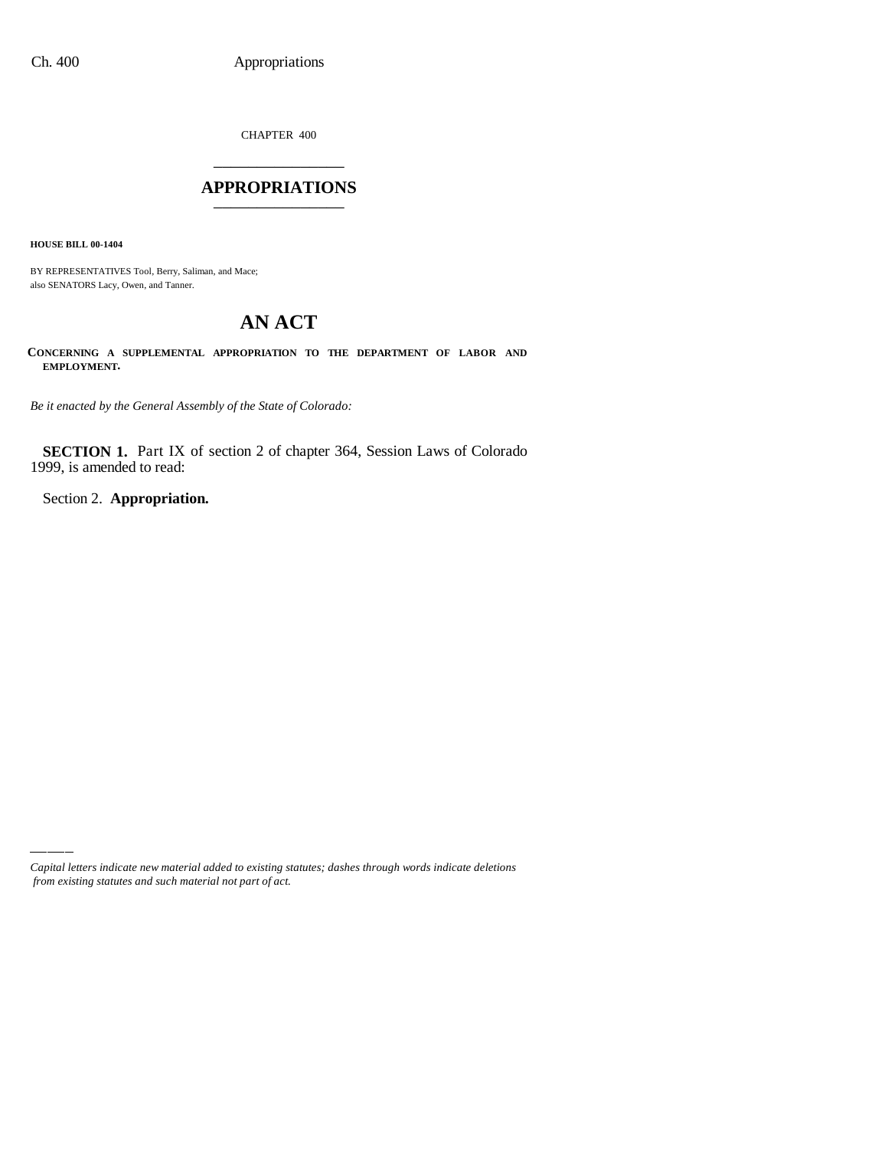CHAPTER 400 \_\_\_\_\_\_\_\_\_\_\_\_\_\_\_

#### **APPROPRIATIONS** \_\_\_\_\_\_\_\_\_\_\_\_\_\_\_

**HOUSE BILL 00-1404**

BY REPRESENTATIVES Tool, Berry, Saliman, and Mace; also SENATORS Lacy, Owen, and Tanner.

# **AN ACT**

**CONCERNING A SUPPLEMENTAL APPROPRIATION TO THE DEPARTMENT OF LABOR AND EMPLOYMENT.**

*Be it enacted by the General Assembly of the State of Colorado:*

**SECTION 1.** Part IX of section 2 of chapter 364, Session Laws of Colorado 1999, is amended to read:

Section 2. **Appropriation.**

*Capital letters indicate new material added to existing statutes; dashes through words indicate deletions from existing statutes and such material not part of act.*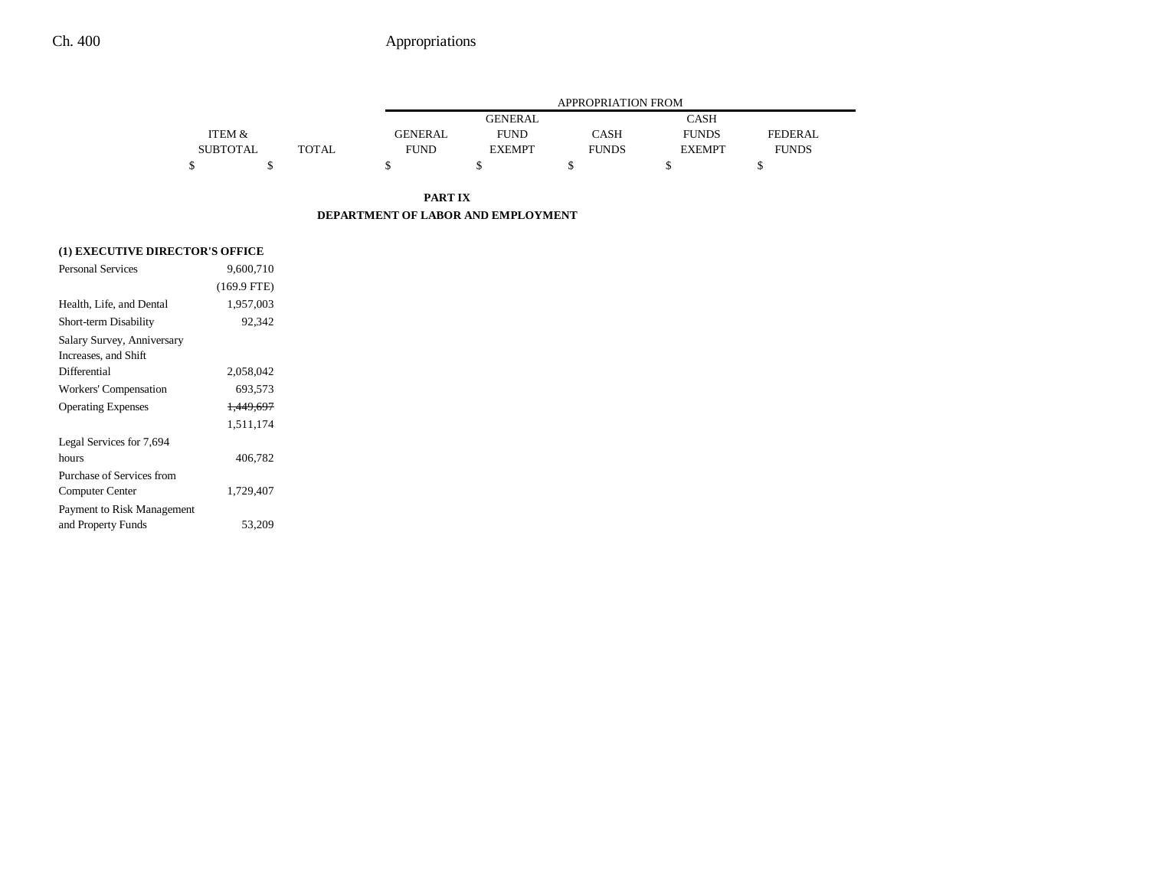|                 |       |                |               | <b>APPROPRIATION FROM</b> |               |              |
|-----------------|-------|----------------|---------------|---------------------------|---------------|--------------|
|                 |       |                | GENERAL       |                           | CASH          |              |
| ITEM &          |       | <b>GENERAL</b> | <b>FUND</b>   | CASH                      | <b>FUNDS</b>  | FEDERAL.     |
| <b>SUBTOTAL</b> | TOTAL | <b>FUND</b>    | <b>EXEMPT</b> | <b>FUNDS</b>              | <b>EXEMPT</b> | <b>FUNDS</b> |
|                 |       |                |               |                           |               |              |

**PART IX DEPARTMENT OF LABOR AND EMPLOYMENT**

### **(1) EXECUTIVE DIRECTOR'S OFFICE**

| <b>Personal Services</b>   | 9,600,710     |  |
|----------------------------|---------------|--|
|                            | $(169.9$ FTE) |  |
| Health, Life, and Dental   | 1,957,003     |  |
| Short-term Disability      | 92.342        |  |
| Salary Survey, Anniversary |               |  |
| Increases, and Shift       |               |  |
| Differential               | 2,058,042     |  |
| Workers' Compensation      | 693,573       |  |
| <b>Operating Expenses</b>  | 1.449.697     |  |
|                            | 1,511,174     |  |
| Legal Services for 7,694   |               |  |
| hours                      | 406,782       |  |
| Purchase of Services from  |               |  |
| Computer Center            | 1.729.407     |  |
| Payment to Risk Management |               |  |
| and Property Funds         | 53,209        |  |
|                            |               |  |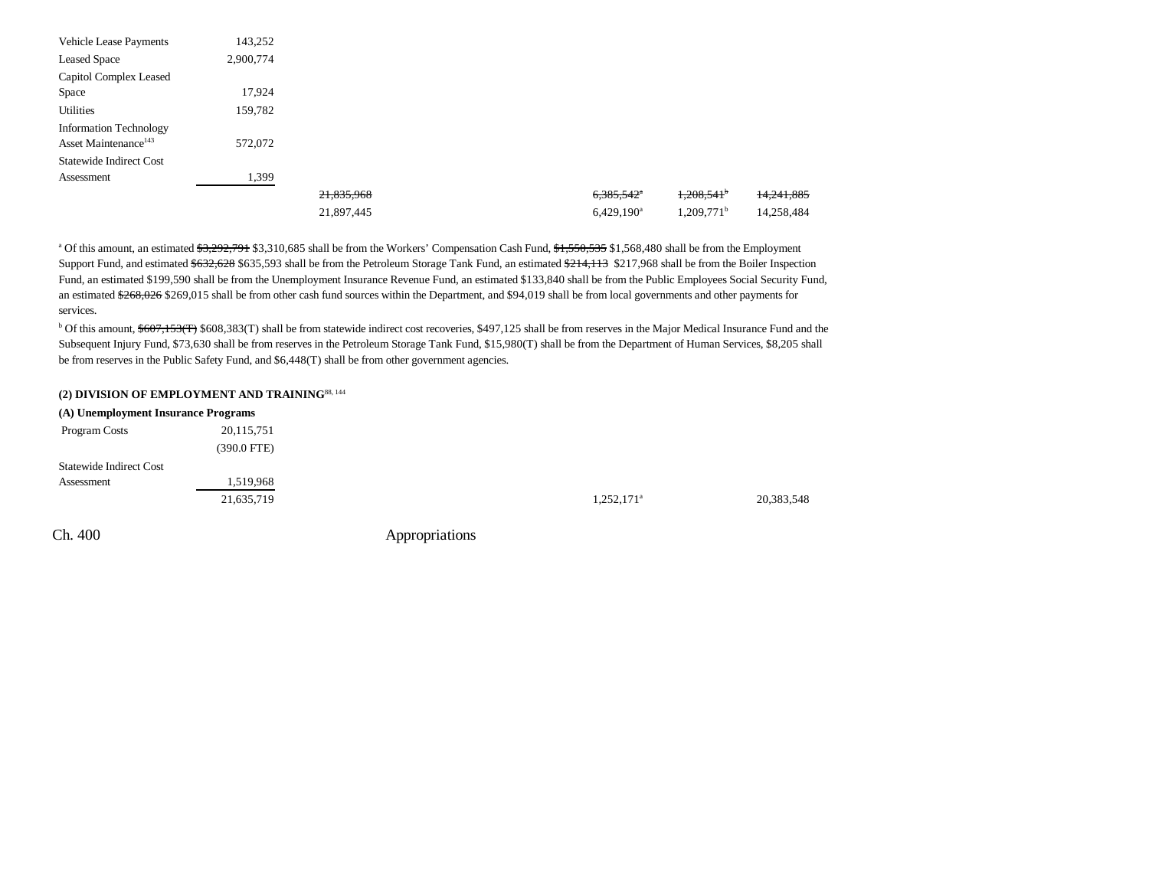| <b>Vehicle Lease Payments</b>                                     | 143,252   |            |  |                          |                          |            |
|-------------------------------------------------------------------|-----------|------------|--|--------------------------|--------------------------|------------|
| <b>Leased Space</b>                                               | 2,900,774 |            |  |                          |                          |            |
| Capitol Complex Leased                                            |           |            |  |                          |                          |            |
| Space                                                             | 17,924    |            |  |                          |                          |            |
| Utilities                                                         | 159,782   |            |  |                          |                          |            |
| <b>Information Technology</b><br>Asset Maintenance <sup>143</sup> | 572,072   |            |  |                          |                          |            |
| <b>Statewide Indirect Cost</b>                                    |           |            |  |                          |                          |            |
| Assessment                                                        | 1,399     |            |  |                          |                          |            |
|                                                                   |           | 21,835,968 |  | $6,385,542$ <sup>a</sup> | $1,208,541$ <sup>b</sup> | 14,241,885 |
|                                                                   |           | 21,897,445 |  | $6,429,190^a$            | $1,209,771$ <sup>b</sup> | 14,258,484 |

<sup>a</sup> Of this amount, an estimated \$3,292,791 \$3,310,685 shall be from the Workers' Compensation Cash Fund, \$1,550,535 \$1,568,480 shall be from the Employment Support Fund, and estimated \$632,628 \$635,593 shall be from the Petroleum Storage Tank Fund, an estimated \$214,113 \$217,968 shall be from the Boiler Inspection Fund, an estimated \$199,590 shall be from the Unemployment Insurance Revenue Fund, an estimated \$133,840 shall be from the Public Employees Social Security Fund, an estimated \$268,026 \$269,015 shall be from other cash fund sources within the Department, and \$94,019 shall be from local governments and other payments for services.

<sup>b</sup> Of this amount, \$607,153(T) \$608,383(T) shall be from statewide indirect cost recoveries, \$497,125 shall be from reserves in the Major Medical Insurance Fund and the Subsequent Injury Fund, \$73,630 shall be from reserves in the Petroleum Storage Tank Fund, \$15,980(T) shall be from the Department of Human Services, \$8,205 shall be from reserves in the Public Safety Fund, and \$6,448(T) shall be from other government agencies.

#### **(2) DIVISION OF EMPLOYMENT AND TRAINING**88, 144

| (A) Unemployment Insurance Programs |               |               |            |
|-------------------------------------|---------------|---------------|------------|
| Program Costs                       | 20,115,751    |               |            |
|                                     | $(390.0$ FTE) |               |            |
| <b>Statewide Indirect Cost</b>      |               |               |            |
| Assessment                          | 1,519,968     |               |            |
|                                     | 21,635,719    | $1,252,171^a$ | 20,383,548 |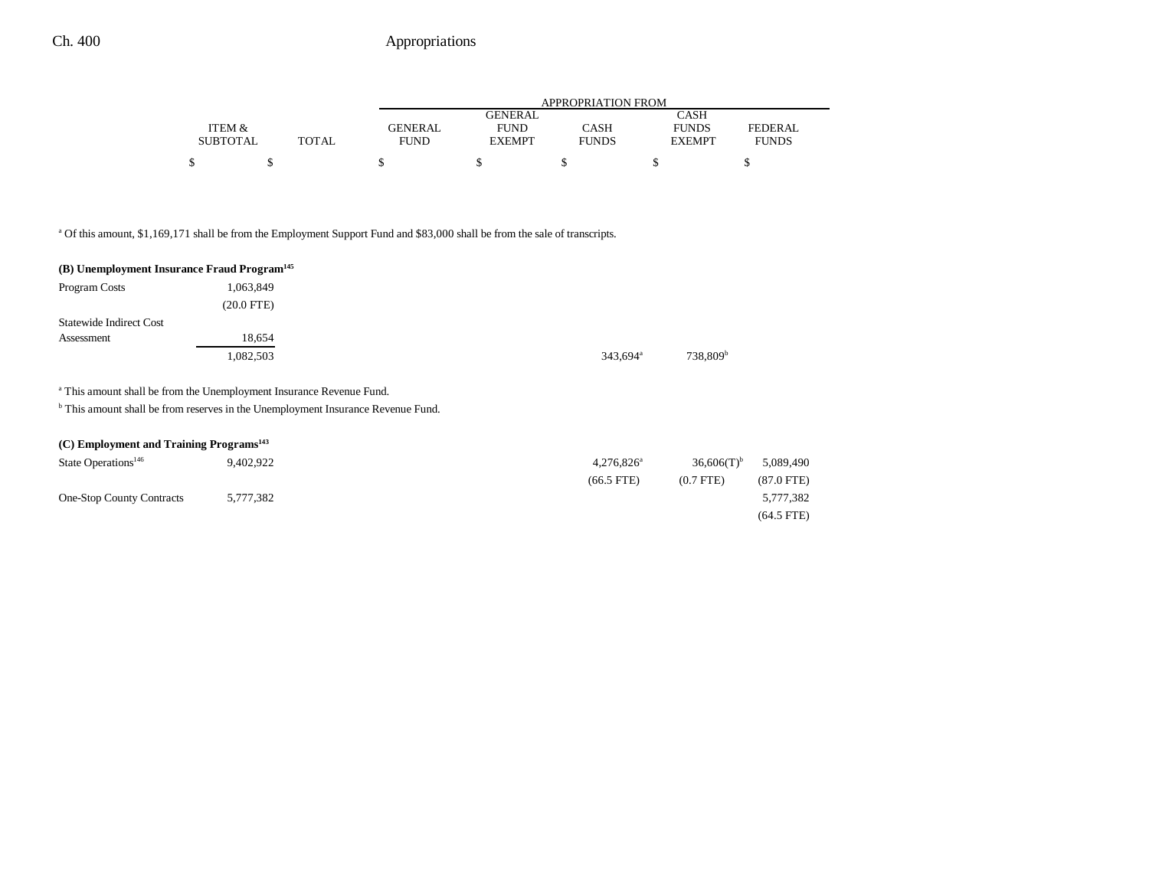|                 |              |                |               | APPROPRIATION FROM |               |                |
|-----------------|--------------|----------------|---------------|--------------------|---------------|----------------|
|                 |              |                | GENERAL       |                    | CASH          |                |
| ITEM &          |              | <b>GENERAL</b> | <b>FUND</b>   | CASH               | <b>FUNDS</b>  | <b>FEDERAL</b> |
| <b>SUBTOTAL</b> | <b>TOTAL</b> | <b>FUND</b>    | <b>EXEMPT</b> | <b>FUNDS</b>       | <b>EXEMPT</b> | <b>FUNDS</b>   |
|                 |              |                |               |                    |               |                |
|                 |              |                |               |                    |               |                |

a Of this amount, \$1,169,171 shall be from the Employment Support Fund and \$83,000 shall be from the sale of transcripts.

| (B) Unemployment Insurance Fraud Program <sup>145</sup> |              |
|---------------------------------------------------------|--------------|
| Program Costs                                           | 1,063,849    |
|                                                         | $(20.0$ FTE) |
| <b>Statewide Indirect Cost</b>                          |              |
| Assessment                                              | 18,654       |
|                                                         | 1,082,503    |

a This amount shall be from the Unemployment Insurance Revenue Fund.

b This amount shall be from reserves in the Unemployment Insurance Revenue Fund.

| (C) Employment and Training Programs <sup>143</sup> |  |  |
|-----------------------------------------------------|--|--|
|-----------------------------------------------------|--|--|

| State Operations <sup>146</sup>  | 9,402,922 | $4.276.826^a$ | $36,606(T)$ <sup>b</sup> | 5,089,490            |
|----------------------------------|-----------|---------------|--------------------------|----------------------|
|                                  |           | $(66.5$ FTE)  | $(0.7$ FTE)              | $(87.0 \text{ FTE})$ |
| <b>One-Stop County Contracts</b> | 5,777,382 |               |                          | 5,777,382            |
|                                  |           |               |                          | $(64.5$ FTE)         |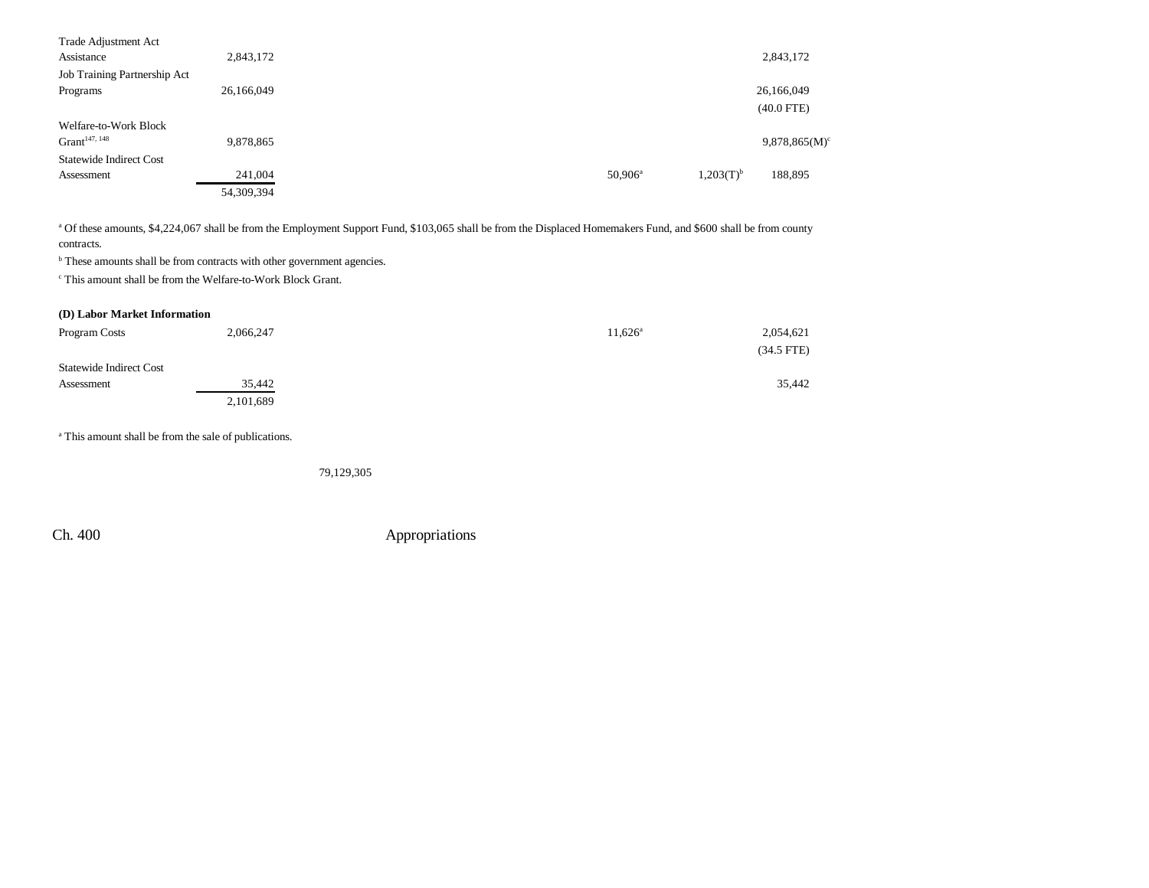| Trade Adjustment Act           |            |  |                     |                |                  |
|--------------------------------|------------|--|---------------------|----------------|------------------|
| Assistance                     | 2,843,172  |  |                     |                | 2,843,172        |
| Job Training Partnership Act   |            |  |                     |                |                  |
| Programs                       | 26,166,049 |  |                     |                | 26,166,049       |
|                                |            |  |                     |                | $(40.0$ FTE)     |
| Welfare-to-Work Block          |            |  |                     |                |                  |
| Grant <sup>147, 148</sup>      | 9,878,865  |  |                     |                | $9,878,865(M)^c$ |
| <b>Statewide Indirect Cost</b> |            |  |                     |                |                  |
| Assessment                     | 241,004    |  | 50,906 <sup>a</sup> | $1,203(T)^{b}$ | 188,895          |
|                                | 54,309,394 |  |                     |                |                  |
|                                |            |  |                     |                |                  |

<sup>a</sup> Of these amounts, \$4,224,067 shall be from the Employment Support Fund, \$103,065 shall be from the Displaced Homemakers Fund, and \$600 shall be from county

contracts.

**b** These amounts shall be from contracts with other government agencies.

c This amount shall be from the Welfare-to-Work Block Grant.

#### **(D) Labor Market Information**

| Program Costs                  | 2,066,247 | $11,626^{\rm a}$<br>2,054,621 |
|--------------------------------|-----------|-------------------------------|
|                                |           | $(34.5$ FTE)                  |
| <b>Statewide Indirect Cost</b> |           |                               |
| Assessment                     | 35,442    | 35,442                        |
|                                | 2,101,689 |                               |

a This amount shall be from the sale of publications.

79,129,305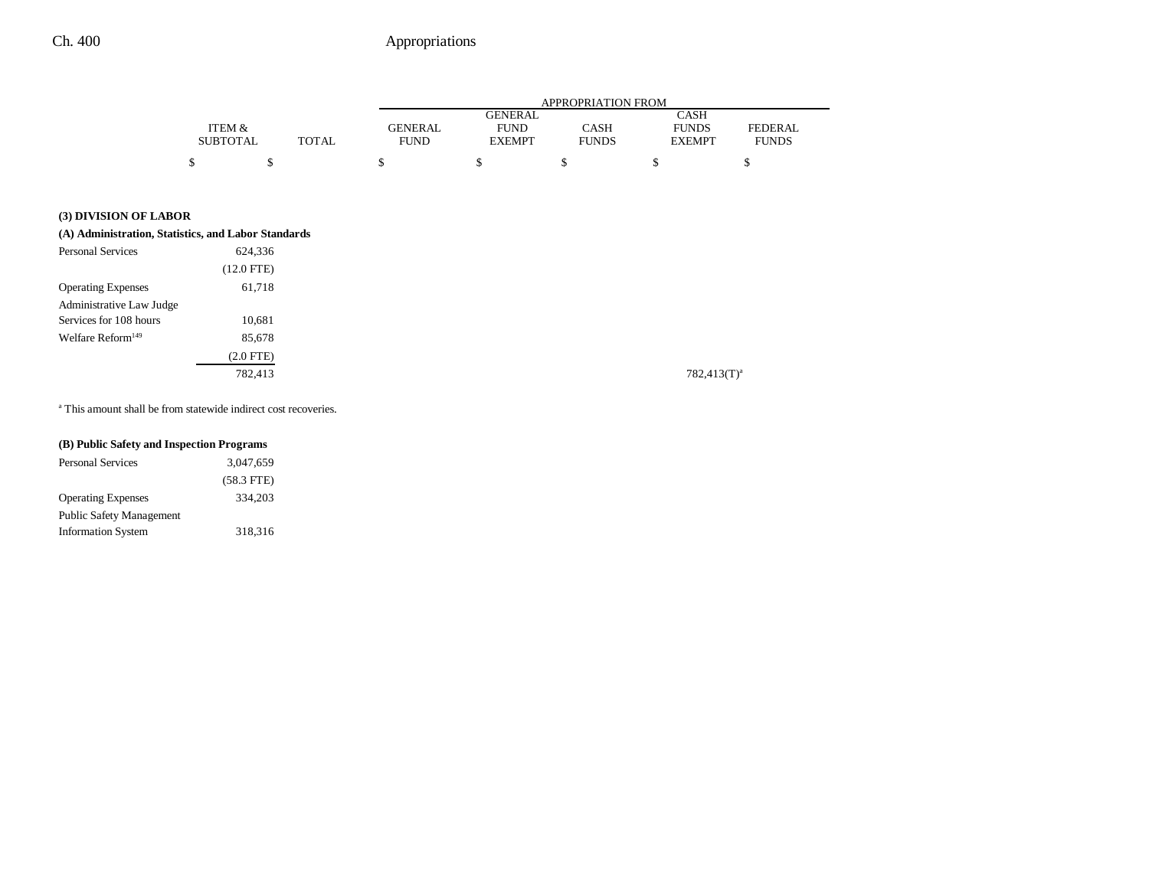|                 |              |                |                | APPROPRIATION FROM |               |                |
|-----------------|--------------|----------------|----------------|--------------------|---------------|----------------|
|                 |              |                | <b>GENERAL</b> |                    | <b>CASH</b>   |                |
| ITEM &          |              | <b>GENERAL</b> | <b>FUND</b>    | CASH               | <b>FUNDS</b>  | <b>FEDERAL</b> |
| <b>SUBTOTAL</b> | <b>TOTAL</b> | <b>FUND</b>    | <b>EXEMPT</b>  | <b>FUNDS</b>       | <b>EXEMPT</b> | <b>FUNDS</b>   |
|                 |              |                |                |                    |               |                |

 $782,413$ (T)<sup>a</sup>

### **(3) DIVISION OF LABOR**

| (A) Administration, Statistics, and Labor Standards |              |
|-----------------------------------------------------|--------------|
| <b>Personal Services</b>                            | 624,336      |
|                                                     | $(12.0$ FTE) |
| <b>Operating Expenses</b>                           | 61,718       |
| Administrative Law Judge                            |              |
| Services for 108 hours                              | 10,681       |
| Welfare Reform <sup>149</sup>                       | 85,678       |
|                                                     | (2.0 FTE)    |
|                                                     | 782,413      |

a This amount shall be from statewide indirect cost recoveries.

#### **(B) Public Safety and Inspection Programs**

| <b>Personal Services</b>        | 3,047,659    |
|---------------------------------|--------------|
|                                 | $(58.3$ FTE) |
| <b>Operating Expenses</b>       | 334,203      |
| <b>Public Safety Management</b> |              |
| <b>Information System</b>       | 318,316      |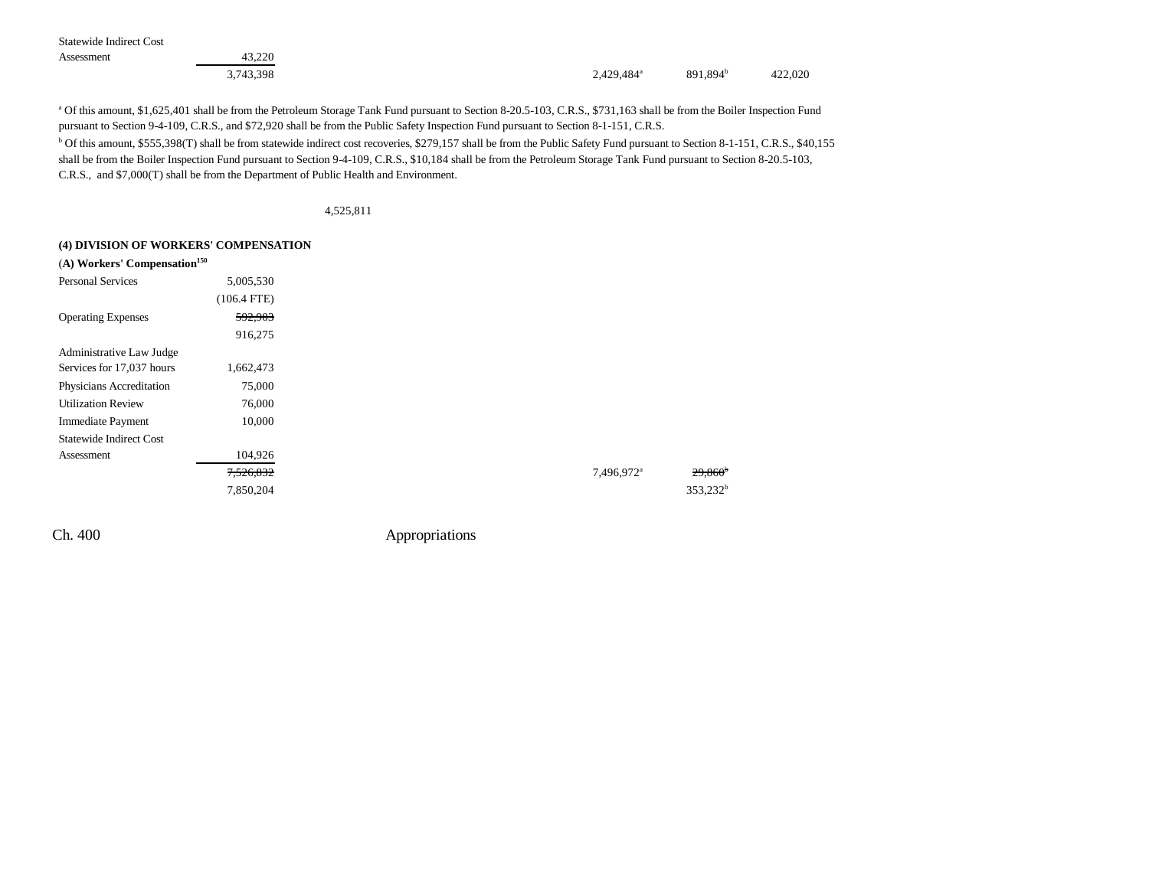| <b>Statewide Indirect Cost</b> |           |                        |                      |         |
|--------------------------------|-----------|------------------------|----------------------|---------|
| Assessment                     | 43.220    |                        |                      |         |
|                                | 3,743,398 | 2,429,484 <sup>a</sup> | 891.894 <sup>b</sup> | 422,020 |

a Of this amount, \$1,625,401 shall be from the Petroleum Storage Tank Fund pursuant to Section 8-20.5-103, C.R.S., \$731,163 shall be from the Boiler Inspection Fund pursuant to Section 9-4-109, C.R.S., and \$72,920 shall be from the Public Safety Inspection Fund pursuant to Section 8-1-151, C.R.S.

b Of this amount, \$555,398(T) shall be from statewide indirect cost recoveries, \$279,157 shall be from the Public Safety Fund pursuant to Section 8-1-151, C.R.S., \$40,155 shall be from the Boiler Inspection Fund pursuant to Section 9-4-109, C.R.S., \$10,184 shall be from the Petroleum Storage Tank Fund pursuant to Section 8-20.5-103, C.R.S., and \$7,000(T) shall be from the Department of Public Health and Environment.

4,525,811

#### **(4) DIVISION OF WORKERS' COMPENSATION**

| $(A)$ Workers' Compensation <sup>150</sup> |               |                        |
|--------------------------------------------|---------------|------------------------|
| <b>Personal Services</b>                   | 5,005,530     |                        |
|                                            | $(106.4$ FTE) |                        |
| <b>Operating Expenses</b>                  | 592,903       |                        |
|                                            | 916,275       |                        |
| Administrative Law Judge                   |               |                        |
| Services for 17,037 hours                  | 1,662,473     |                        |
| Physicians Accreditation                   | 75,000        |                        |
| <b>Utilization Review</b>                  | 76,000        |                        |
| <b>Immediate Payment</b>                   | 10,000        |                        |
| <b>Statewide Indirect Cost</b>             |               |                        |
| Assessment                                 | 104,926       |                        |
|                                            | 7,526,832     | 7,496,972 <sup>a</sup> |
|                                            | 7,850,204     |                        |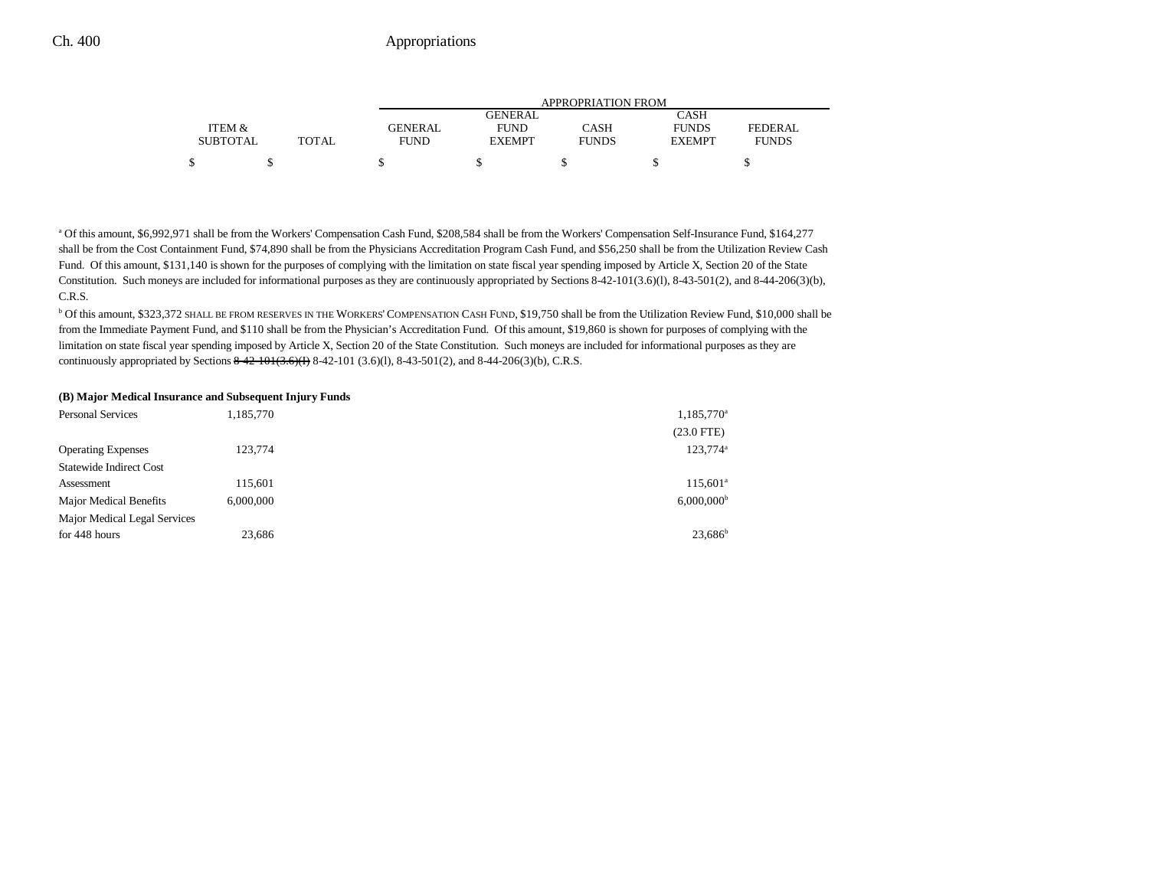|                 |              | APPROPRIATION FROM |                |              |               |              |
|-----------------|--------------|--------------------|----------------|--------------|---------------|--------------|
|                 |              |                    | <b>GENERAL</b> |              | CASH          |              |
| ITEM &          |              | GENERAL            | <b>FUND</b>    | CASH         | <b>FUNDS</b>  | FEDERAL      |
| <b>SUBTOTAL</b> | <b>TOTAL</b> | <b>FUND</b>        | <b>EXEMPT</b>  | <b>FUNDS</b> | <b>EXEMPT</b> | <b>FUNDS</b> |
| \$              |              |                    |                |              |               |              |

a Of this amount, \$6,992,971 shall be from the Workers' Compensation Cash Fund, \$208,584 shall be from the Workers' Compensation Self-Insurance Fund, \$164,277 shall be from the Cost Containment Fund, \$74,890 shall be from the Physicians Accreditation Program Cash Fund, and \$56,250 shall be from the Utilization Review Cash Fund. Of this amount, \$131,140 is shown for the purposes of complying with the limitation on state fiscal year spending imposed by Article X, Section 20 of the State Constitution. Such moneys are included for informational purposes as they are continuously appropriated by Sections 8-42-101(3.6)(l), 8-43-501(2), and 8-44-206(3)(b), C.R.S.

b Of this amount, \$323,372 SHALL BE FROM RESERVES IN THE WORKERS' COMPENSATION CASH FUND, \$19,750 shall be from the Utilization Review Fund, \$10,000 shall be from the Immediate Payment Fund, and \$110 shall be from the Physician's Accreditation Fund. Of this amount, \$19,860 is shown for purposes of complying with the limitation on state fiscal year spending imposed by Article X, Section 20 of the State Constitution. Such moneys are included for informational purposes as they are continuously appropriated by Sections  $8-42-101(3.6)(1)$ , 8-43-501(2), and 8-44-206(3)(b), C.R.S.

#### **(B) Major Medical Insurance and Subsequent Injury Funds**

| <b>Personal Services</b>       | 1,185,770 | 1,185,770 <sup>a</sup>   |
|--------------------------------|-----------|--------------------------|
|                                |           | $(23.0$ FTE)             |
| <b>Operating Expenses</b>      | 123,774   | $123,774$ <sup>a</sup>   |
| <b>Statewide Indirect Cost</b> |           |                          |
| Assessment                     | 115.601   | $115.601^a$              |
| <b>Major Medical Benefits</b>  | 6,000,000 | $6,000,000$ <sup>b</sup> |
| Major Medical Legal Services   |           |                          |
| for 448 hours                  | 23,686    | $23,686^b$               |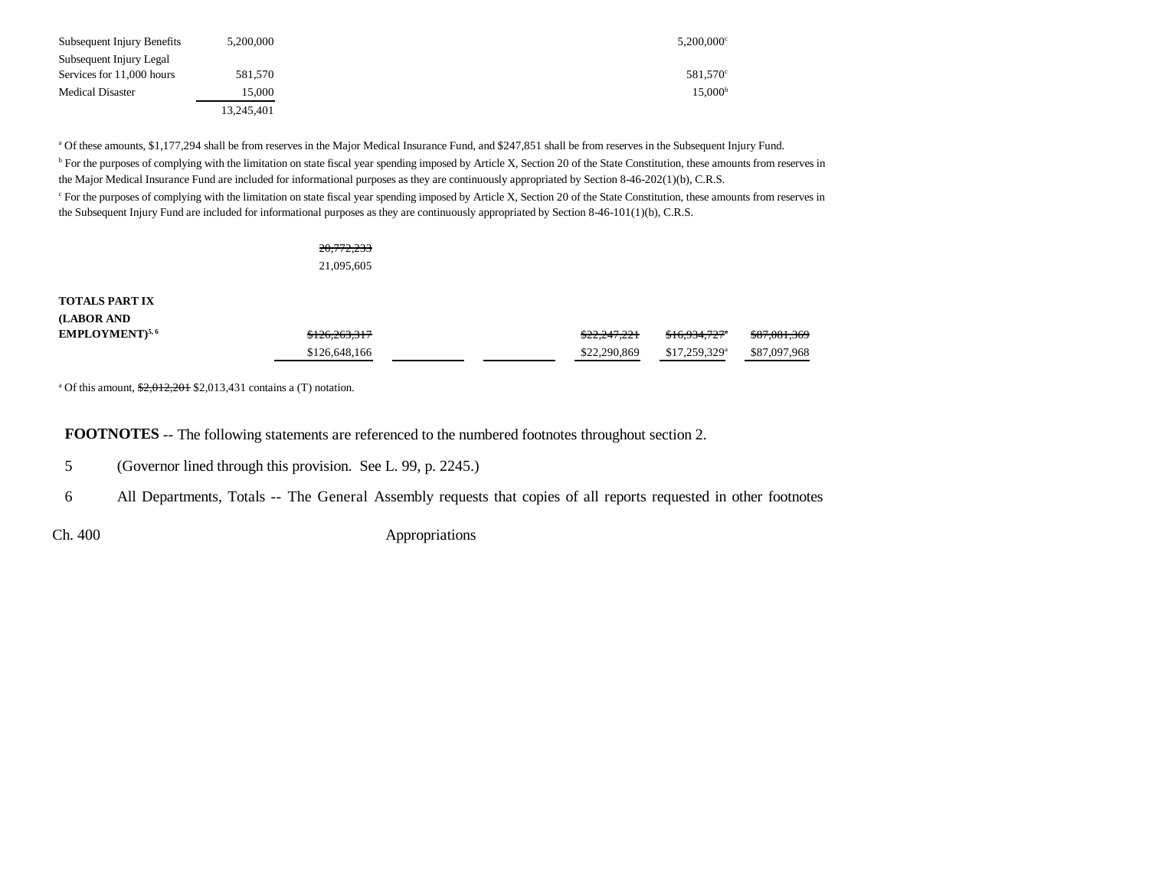| Subsequent Injury Benefits | 5,200,000  | $5.200.000$ <sup>c</sup> |
|----------------------------|------------|--------------------------|
| Subsequent Injury Legal    |            |                          |
| Services for 11,000 hours  | 581,570    | 581.570 <sup>c</sup>     |
| Medical Disaster           | 15,000     | 15,000 <sup>b</sup>      |
|                            | 13.245.401 |                          |

<sup>a</sup> Of these amounts, \$1,177,294 shall be from reserves in the Major Medical Insurance Fund, and \$247,851 shall be from reserves in the Subsequent Injury Fund. <sup>b</sup> For the purposes of complying with the limitation on state fiscal year spending imposed by Article X, Section 20 of the State Constitution, these amounts from reserves in the Major Medical Insurance Fund are included for informational purposes as they are continuously appropriated by Section 8-46-202(1)(b), C.R.S.

<sup>c</sup> For the purposes of complying with the limitation on state fiscal year spending imposed by Article X, Section 20 of the State Constitution, these amounts from reserves in the Subsequent Injury Fund are included for informational purposes as they are continuously appropriated by Section 8-46-101(1)(b), C.R.S.

### 20,772,233 21,095,605

## **TOTALS PART IX(LABOR AND**

| EMPLOYMENT) <sup>5, 6</sup> | \$126,263,317 |  | 0.222222<br>522.241.221 | <del>\$16.934.727</del> * | <del>\$87,081,369</del> |
|-----------------------------|---------------|--|-------------------------|---------------------------|-------------------------|
|                             | \$126,648,166 |  | \$22,290,869            | \$17.259.329 <sup>a</sup> | \$87,097,968            |

<sup>a</sup> Of this amount,  $\frac{$2,012,201}{2}$  \$2,013,431 contains a (T) notation.

**FOOTNOTES** -- The following statements are referenced to the numbered footnotes throughout section 2.

5 (Governor lined through this provision. See L. 99, p. 2245.)

6 All Departments, Totals -- The General Assembly requests that copies of all reports requested in other footnotes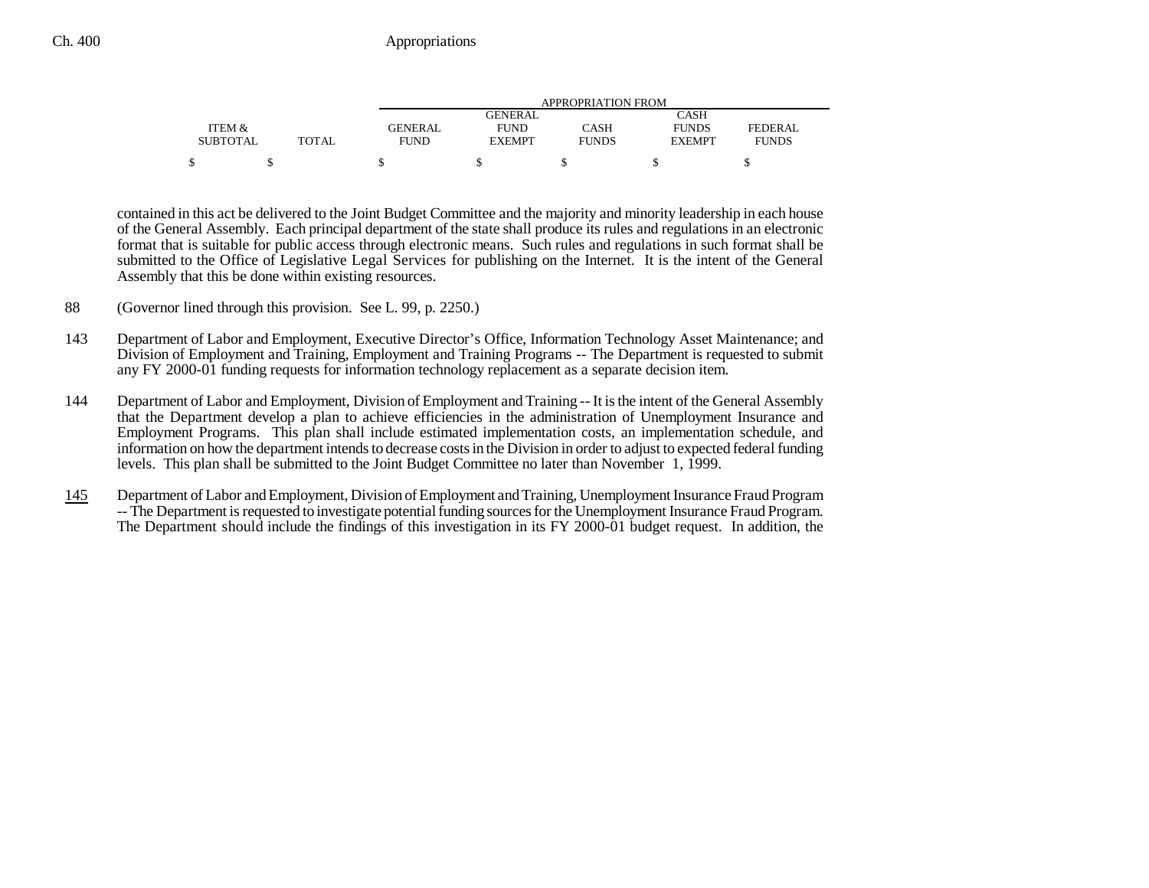|                 |       | APPROPRIATION FROM |                |              |               |                |
|-----------------|-------|--------------------|----------------|--------------|---------------|----------------|
|                 |       |                    | <b>GENERAL</b> |              | CASH          |                |
| ITEM &          |       | GENERAL            | <b>FUND</b>    | CASH         | <b>FUNDS</b>  | <b>FEDERAL</b> |
| <b>SUBTOTAL</b> | TOTAL | <b>FUND</b>        | <b>EXEMPT</b>  | <b>FUNDS</b> | <b>EXEMPT</b> | <b>FUNDS</b>   |
|                 |       |                    |                |              |               |                |

contained in this act be delivered to the Joint Budget Committee and the majority and minority leadership in each house of the General Assembly. Each principal department of the state shall produce its rules and regulations in an electronic format that is suitable for public access through electronic means. Such rules and regulations in such format shall be submitted to the Office of Legislative Legal Services for publishing on the Internet. It is the intent of the General Assembly that this be done within existing resources.

- 88 (Governor lined through this provision. See L. 99, p. 2250.)
- 143 Department of Labor and Employment, Executive Director's Office, Information Technology Asset Maintenance; and Division of Employment and Training, Employment and Training Programs -- The Department is requested to submit any FY 2000-01 funding requests for information technology replacement as a separate decision item.
- 144 Department of Labor and Employment, Division of Employment and Training -- It is the intent of the General Assembly that the Department develop a plan to achieve efficiencies in the administration of Unemployment Insurance and Employment Programs. This plan shall include estimated implementation costs, an implementation schedule, and information on how the department intends to decrease costs in the Division in order to adjust to expected federal funding levels. This plan shall be submitted to the Joint Budget Committee no later than November 1, 1999.
- 145 Department of Labor and Employment, Division of Employment and Training, Unemployment Insurance Fraud Program -- The Department is requested to investigate potential funding sources for the Unemployment Insurance Fraud Program. The Department should include the findings of this investigation in its FY 2000-01 budget request. In addition, the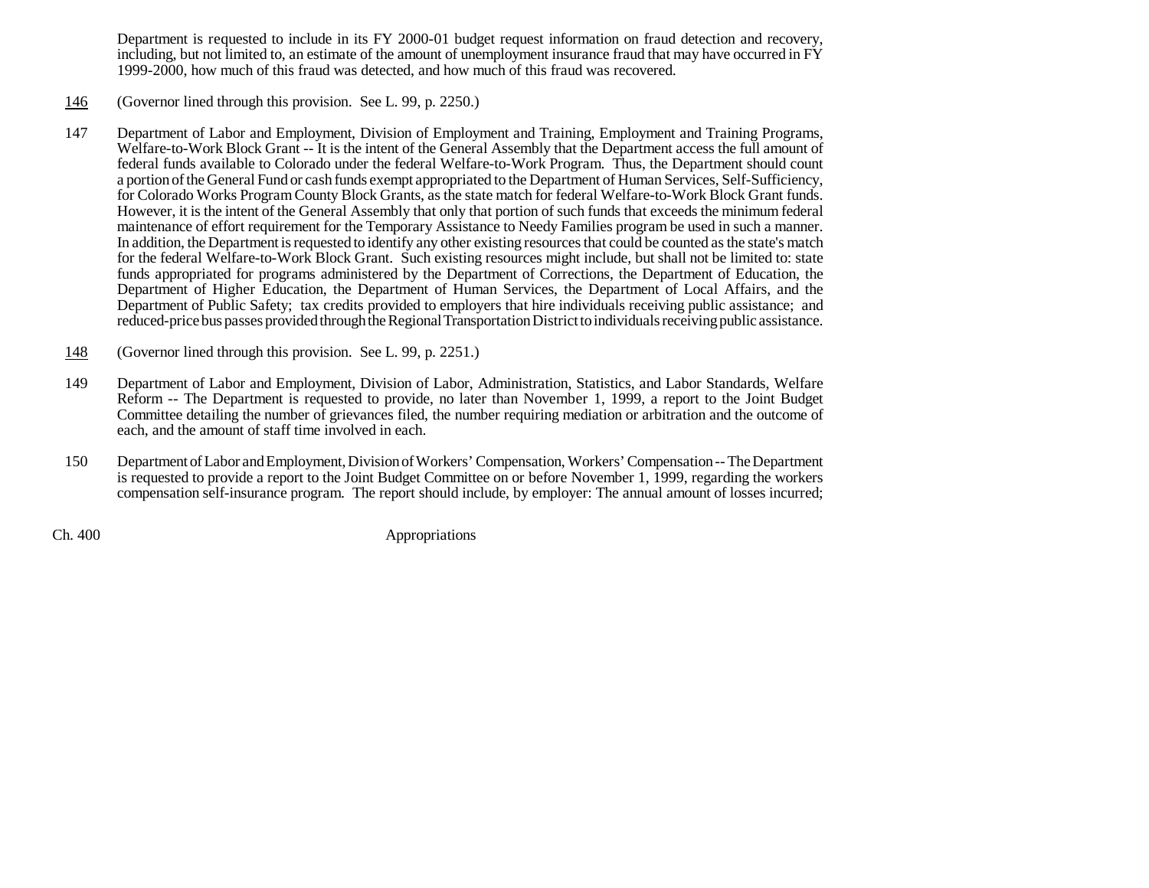Department is requested to include in its FY 2000-01 budget request information on fraud detection and recovery, including, but not limited to, an estimate of the amount of unemployment insurance fraud that may have occurred in FY 1999-2000, how much of this fraud was detected, and how much of this fraud was recovered.

- 146(Governor lined through this provision. See L. 99, p. 2250.)
- 147 Department of Labor and Employment, Division of Employment and Training, Employment and Training Programs, Welfare-to-Work Block Grant -- It is the intent of the General Assembly that the Department access the full amount of federal funds available to Colorado under the federal Welfare-to-Work Program. Thus, the Department should count a portion of the General Fund or cash funds exempt appropriated to the Department of Human Services, Self-Sufficiency, for Colorado Works Program County Block Grants, as the state match for federal Welfare-to-Work Block Grant funds. However, it is the intent of the General Assembly that only that portion of such funds that exceeds the minimum federal maintenance of effort requirement for the Temporary Assistance to Needy Families program be used in such a manner. In addition, the Department is requested to identify any other existing resources that could be counted as the state's match for the federal Welfare-to-Work Block Grant. Such existing resources might include, but shall not be limited to: state funds appropriated for programs administered by the Department of Corrections, the Department of Education, the Department of Higher Education, the Department of Human Services, the Department of Local Affairs, and the Department of Public Safety; tax credits provided to employers that hire individuals receiving public assistance; and reduced-price bus passes provided through the Regional Transportation District to individuals receiving public assistance.
- 148(Governor lined through this provision. See L. 99, p. 2251.)
- 149 Department of Labor and Employment, Division of Labor, Administration, Statistics, and Labor Standards, Welfare Reform -- The Department is requested to provide, no later than November 1, 1999, a report to the Joint Budget Committee detailing the number of grievances filed, the number requiring mediation or arbitration and the outcome of each, and the amount of staff time involved in each.
- 150 Department of Labor and Employment, Division of Workers' Compensation, Workers' Compensation -- The Department is requested to provide a report to the Joint Budget Committee on or before November 1, 1999, regarding the workers compensation self-insurance program. The report should include, by employer: The annual amount of losses incurred;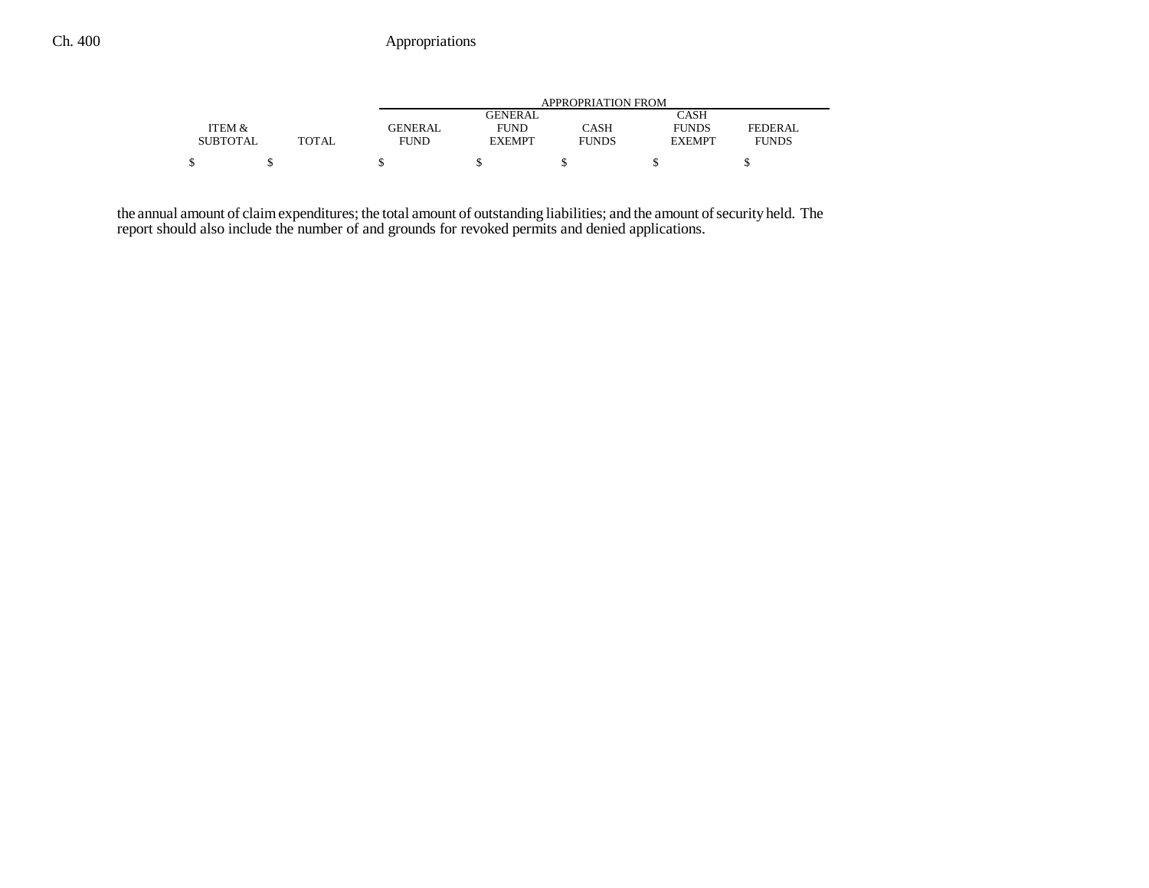|                 |       | APPROPRIATION FROM |               |              |               |                |  |
|-----------------|-------|--------------------|---------------|--------------|---------------|----------------|--|
|                 |       |                    | GENERAL       |              | CASH          |                |  |
| ITEM &          |       | <b>GENERAL</b>     | <b>FUND</b>   | CASH         | <b>FUNDS</b>  | <b>FEDERAL</b> |  |
| <b>SUBTOTAL</b> | TOTAL | <b>FUND</b>        | <b>EXEMPT</b> | <b>FUNDS</b> | <b>EXEMPT</b> | <b>FUNDS</b>   |  |
| ¢               |       |                    |               |              |               |                |  |

the annual amount of claim expenditures; the total amount of outstanding liabilities; and the amount of security held. The report should also include the number of and grounds for revoked permits and denied applications.